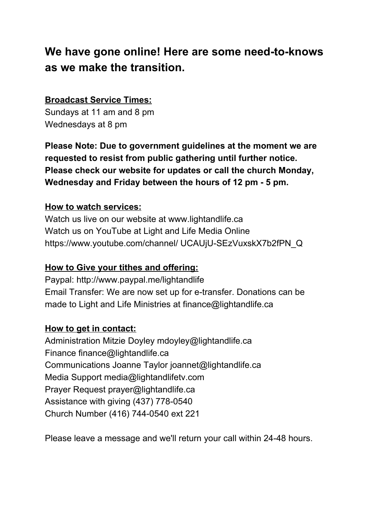# **We have gone online! Here are some need-to-knows as we make the transition.**

## **Broadcast Service Times:**

Sundays at 11 am and 8 pm Wednesdays at 8 pm

**Please Note: Due to government guidelines at the moment we are requested to resist from public gathering until further notice. Please check our website for updates or call the church Monday, Wednesday and Friday between the hours of 12 pm - 5 pm.**

#### **How to watch services:**

Watch us live on our website at www.lightandlife.ca Watch us on YouTube at Light and Life Media Online https://www.youtube.com/channel/ UCAUjU-SEzVuxskX7b2fPN\_Q

## **How to Give your tithes and offering:**

Paypal: http://www.paypal.me/lightandlife Email Transfer: We are now set up for e-transfer. Donations can be made to Light and Life Ministries at finance@lightandlife.ca

### **How to get in contact:**

Administration Mitzie Doyley mdoyley@lightandlife.ca Finance finance@lightandlife.ca Communications Joanne Taylor joannet@lightandlife.ca Media Support media@lightandlifetv.com Prayer Request prayer@lightandlife.ca Assistance with giving (437) 778-0540 Church Number (416) 744-0540 ext 221

Please leave a message and we'll return your call within 24-48 hours.